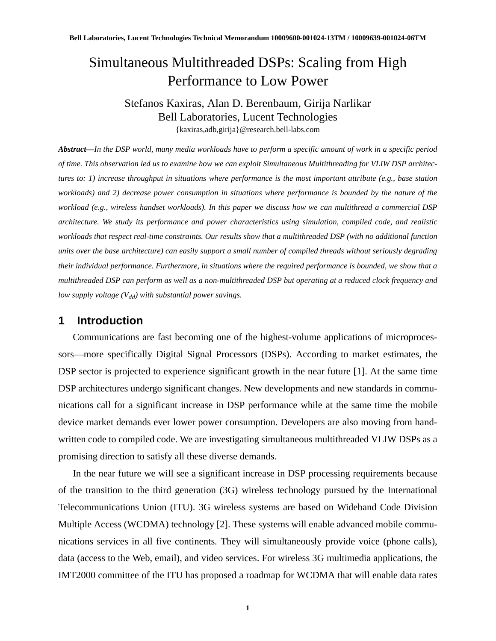# Simultaneous Multithreaded DSPs: Scaling from High Performance to Low Power

# Stefanos Kaxiras, Alan D. Berenbaum, Girija Narlikar Bell Laboratories, Lucent Technologies {kaxiras,adb,girija}@research.bell-labs.com

*Abstract—In the DSP world, many media workloads have to perform a specific amount of work in a specific period of time. This observation led us to examine how we can exploit Simultaneous Multithreading for VLIW DSP architectures to: 1) increase throughput in situations where performance is the most important attribute (e.g., base station workloads) and 2) decrease power consumption in situations where performance is bounded by the nature of the workload (e.g., wireless handset workloads). In this paper we discuss how we can multithread a commercial DSP architecture. We study its performance and power characteristics using simulation, compiled code, and realistic workloads that respect real-time constraints. Our results show that a multithreaded DSP (with no additional function units over the base architecture) can easily support a small number of compiled threads without seriously degrading their individual performance. Furthermore, in situations where the required performance is bounded, we show that a multithreaded DSP can perform as well as a non-multithreaded DSP but operating at a reduced clock frequency and low supply voltage*  $(V_{dd})$  *with substantial power savings.* 

## **1 Introduction**

Communications are fast becoming one of the highest-volume applications of microprocessors—more specifically Digital Signal Processors (DSPs). According to market estimates, the DSP sector is projected to experience significant growth in the near future [1]. At the same time DSP architectures undergo significant changes. New developments and new standards in communications call for a significant increase in DSP performance while at the same time the mobile device market demands ever lower power consumption. Developers are also moving from handwritten code to compiled code. We are investigating simultaneous multithreaded VLIW DSPs as a promising direction to satisfy all these diverse demands.

In the near future we will see a significant increase in DSP processing requirements because of the transition to the third generation (3G) wireless technology pursued by the International Telecommunications Union (ITU). 3G wireless systems are based on Wideband Code Division Multiple Access (WCDMA) technology [2]. These systems will enable advanced mobile communications services in all five continents. They will simultaneously provide voice (phone calls), data (access to the Web, email), and video services. For wireless 3G multimedia applications, the IMT2000 committee of the ITU has proposed a roadmap for WCDMA that will enable data rates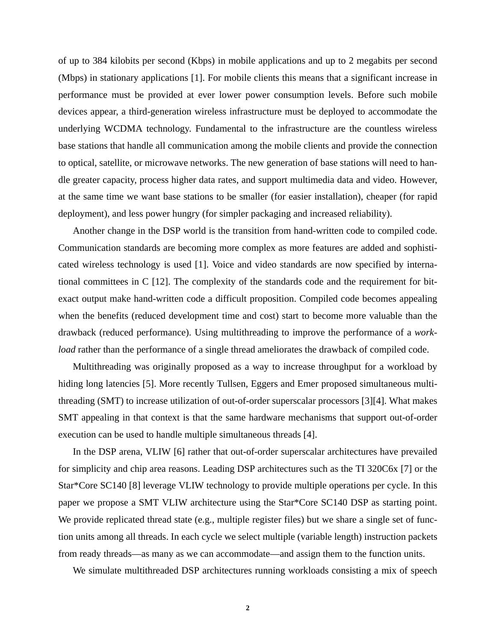of up to 384 kilobits per second (Kbps) in mobile applications and up to 2 megabits per second (Mbps) in stationary applications [1]. For mobile clients this means that a significant increase in performance must be provided at ever lower power consumption levels. Before such mobile devices appear, a third-generation wireless infrastructure must be deployed to accommodate the underlying WCDMA technology. Fundamental to the infrastructure are the countless wireless base stations that handle all communication among the mobile clients and provide the connection to optical, satellite, or microwave networks. The new generation of base stations will need to handle greater capacity, process higher data rates, and support multimedia data and video. However, at the same time we want base stations to be smaller (for easier installation), cheaper (for rapid deployment), and less power hungry (for simpler packaging and increased reliability).

Another change in the DSP world is the transition from hand-written code to compiled code. Communication standards are becoming more complex as more features are added and sophisticated wireless technology is used [1]. Voice and video standards are now specified by international committees in C [12]. The complexity of the standards code and the requirement for bitexact output make hand-written code a difficult proposition. Compiled code becomes appealing when the benefits (reduced development time and cost) start to become more valuable than the drawback (reduced performance). Using multithreading to improve the performance of a *workload* rather than the performance of a single thread ameliorates the drawback of compiled code.

Multithreading was originally proposed as a way to increase throughput for a workload by hiding long latencies [5]. More recently Tullsen, Eggers and Emer proposed simultaneous multithreading (SMT) to increase utilization of out-of-order superscalar processors [3][4]. What makes SMT appealing in that context is that the same hardware mechanisms that support out-of-order execution can be used to handle multiple simultaneous threads [4].

In the DSP arena, VLIW [6] rather that out-of-order superscalar architectures have prevailed for simplicity and chip area reasons. Leading DSP architectures such as the TI 320C6x [7] or the Star\*Core SC140 [8] leverage VLIW technology to provide multiple operations per cycle. In this paper we propose a SMT VLIW architecture using the Star\*Core SC140 DSP as starting point. We provide replicated thread state (e.g., multiple register files) but we share a single set of function units among all threads. In each cycle we select multiple (variable length) instruction packets from ready threads—as many as we can accommodate—and assign them to the function units.

We simulate multithreaded DSP architectures running workloads consisting a mix of speech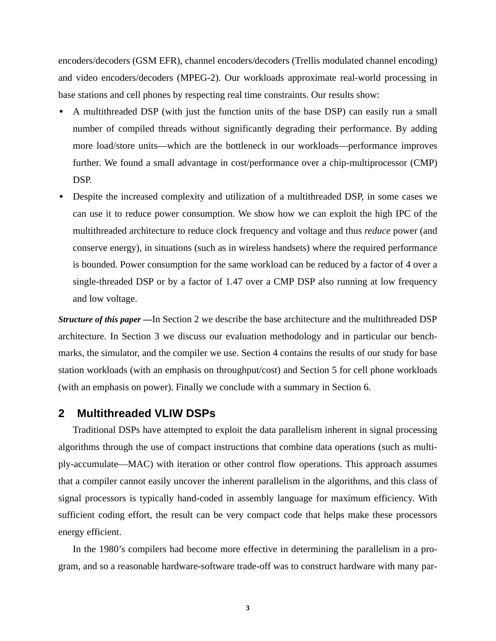encoders/decoders (GSM EFR), channel encoders/decoders (Trellis modulated channel encoding) and video encoders/decoders (MPEG-2). Our workloads approximate real-world processing in base stations and cell phones by respecting real time constraints. Our results show:

- **•** A multithreaded DSP (with just the function units of the base DSP) can easily run a small number of compiled threads without significantly degrading their performance. By adding more load/store units—which are the bottleneck in our workloads—performance improves further. We found a small advantage in cost/performance over a chip-multiprocessor (CMP) DSP.
- **•** Despite the increased complexity and utilization of a multithreaded DSP, in some cases we can use it to reduce power consumption. We show how we can exploit the high IPC of the multithreaded architecture to reduce clock frequency and voltage and thus *reduce* power (and conserve energy), in situations (such as in wireless handsets) where the required performance is bounded. Power consumption for the same workload can be reduced by a factor of 4 over a single-threaded DSP or by a factor of 1.47 over a CMP DSP also running at low frequency and low voltage.

*Structure of this paper —*In Section 2 we describe the base architecture and the multithreaded DSP architecture. In Section 3 we discuss our evaluation methodology and in particular our benchmarks, the simulator, and the compiler we use. Section 4 contains the results of our study for base station workloads (with an emphasis on throughput/cost) and Section 5 for cell phone workloads (with an emphasis on power). Finally we conclude with a summary in Section 6.

## **2 Multithreaded VLIW DSPs**

Traditional DSPs have attempted to exploit the data parallelism inherent in signal processing algorithms through the use of compact instructions that combine data operations (such as multiply-accumulate—MAC) with iteration or other control flow operations. This approach assumes that a compiler cannot easily uncover the inherent parallelism in the algorithms, and this class of signal processors is typically hand-coded in assembly language for maximum efficiency. With sufficient coding effort, the result can be very compact code that helps make these processors energy efficient.

In the 1980's compilers had become more effective in determining the parallelism in a program, and so a reasonable hardware-software trade-off was to construct hardware with many par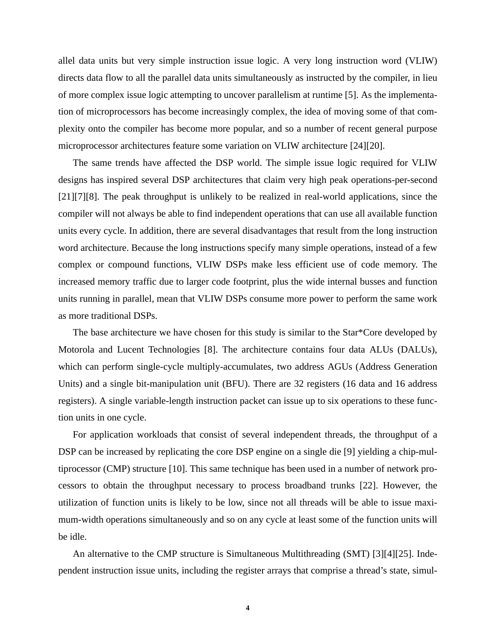allel data units but very simple instruction issue logic. A very long instruction word (VLIW) directs data flow to all the parallel data units simultaneously as instructed by the compiler, in lieu of more complex issue logic attempting to uncover parallelism at runtime [5]. As the implementation of microprocessors has become increasingly complex, the idea of moving some of that complexity onto the compiler has become more popular, and so a number of recent general purpose microprocessor architectures feature some variation on VLIW architecture [24][20].

The same trends have affected the DSP world. The simple issue logic required for VLIW designs has inspired several DSP architectures that claim very high peak operations-per-second [21][7][8]. The peak throughput is unlikely to be realized in real-world applications, since the compiler will not always be able to find independent operations that can use all available function units every cycle. In addition, there are several disadvantages that result from the long instruction word architecture. Because the long instructions specify many simple operations, instead of a few complex or compound functions, VLIW DSPs make less efficient use of code memory. The increased memory traffic due to larger code footprint, plus the wide internal busses and function units running in parallel, mean that VLIW DSPs consume more power to perform the same work as more traditional DSPs.

The base architecture we have chosen for this study is similar to the Star\*Core developed by Motorola and Lucent Technologies [8]. The architecture contains four data ALUs (DALUs), which can perform single-cycle multiply-accumulates, two address AGUs (Address Generation Units) and a single bit-manipulation unit (BFU). There are 32 registers (16 data and 16 address registers). A single variable-length instruction packet can issue up to six operations to these function units in one cycle.

For application workloads that consist of several independent threads, the throughput of a DSP can be increased by replicating the core DSP engine on a single die [9] yielding a chip-multiprocessor (CMP) structure [10]. This same technique has been used in a number of network processors to obtain the throughput necessary to process broadband trunks [22]. However, the utilization of function units is likely to be low, since not all threads will be able to issue maximum-width operations simultaneously and so on any cycle at least some of the function units will be idle.

An alternative to the CMP structure is Simultaneous Multithreading (SMT) [3][4][25]. Independent instruction issue units, including the register arrays that comprise a thread's state, simul-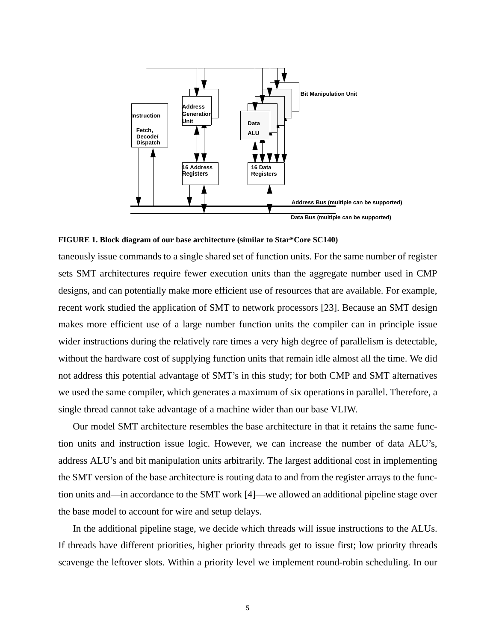



taneously issue commands to a single shared set of function units. For the same number of register sets SMT architectures require fewer execution units than the aggregate number used in CMP designs, and can potentially make more efficient use of resources that are available. For example, recent work studied the application of SMT to network processors [23]. Because an SMT design makes more efficient use of a large number function units the compiler can in principle issue wider instructions during the relatively rare times a very high degree of parallelism is detectable, without the hardware cost of supplying function units that remain idle almost all the time. We did not address this potential advantage of SMT's in this study; for both CMP and SMT alternatives we used the same compiler, which generates a maximum of six operations in parallel. Therefore, a single thread cannot take advantage of a machine wider than our base VLIW.

Our model SMT architecture resembles the base architecture in that it retains the same function units and instruction issue logic. However, we can increase the number of data ALU's, address ALU's and bit manipulation units arbitrarily. The largest additional cost in implementing the SMT version of the base architecture is routing data to and from the register arrays to the function units and—in accordance to the SMT work [4]—we allowed an additional pipeline stage over the base model to account for wire and setup delays.

In the additional pipeline stage, we decide which threads will issue instructions to the ALUs. If threads have different priorities, higher priority threads get to issue first; low priority threads scavenge the leftover slots. Within a priority level we implement round-robin scheduling. In our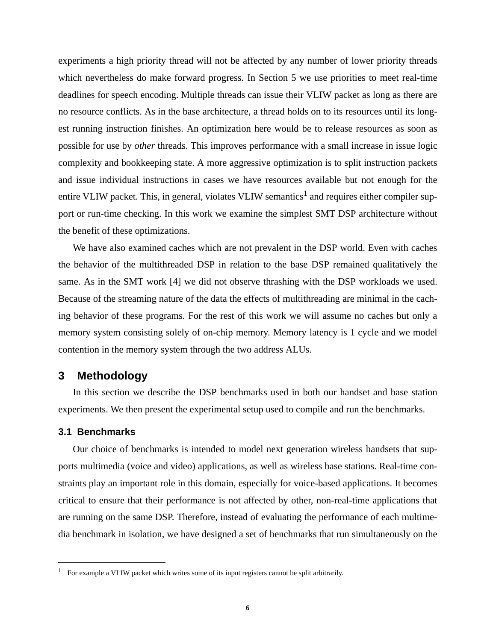experiments a high priority thread will not be affected by any number of lower priority threads which nevertheless do make forward progress. In Section 5 we use priorities to meet real-time deadlines for speech encoding. Multiple threads can issue their VLIW packet as long as there are no resource conflicts. As in the base architecture, a thread holds on to its resources until its longest running instruction finishes. An optimization here would be to release resources as soon as possible for use by *other* threads. This improves performance with a small increase in issue logic complexity and bookkeeping state. A more aggressive optimization is to split instruction packets and issue individual instructions in cases we have resources available but not enough for the entire VLIW packet. This, in general, violates VLIW semantics<sup>1</sup> and requires either compiler support or run-time checking. In this work we examine the simplest SMT DSP architecture without the benefit of these optimizations.

We have also examined caches which are not prevalent in the DSP world. Even with caches the behavior of the multithreaded DSP in relation to the base DSP remained qualitatively the same. As in the SMT work [4] we did not observe thrashing with the DSP workloads we used. Because of the streaming nature of the data the effects of multithreading are minimal in the caching behavior of these programs. For the rest of this work we will assume no caches but only a memory system consisting solely of on-chip memory. Memory latency is 1 cycle and we model contention in the memory system through the two address ALUs.

## **3 Methodology**

In this section we describe the DSP benchmarks used in both our handset and base station experiments. We then present the experimental setup used to compile and run the benchmarks.

#### **3.1 Benchmarks**

Our choice of benchmarks is intended to model next generation wireless handsets that supports multimedia (voice and video) applications, as well as wireless base stations. Real-time constraints play an important role in this domain, especially for voice-based applications. It becomes critical to ensure that their performance is not affected by other, non-real-time applications that are running on the same DSP. Therefore, instead of evaluating the performance of each multimedia benchmark in isolation, we have designed a set of benchmarks that run simultaneously on the

<sup>&</sup>lt;sup>1</sup> For example a VLIW packet which writes some of its input registers cannot be split arbitrarily.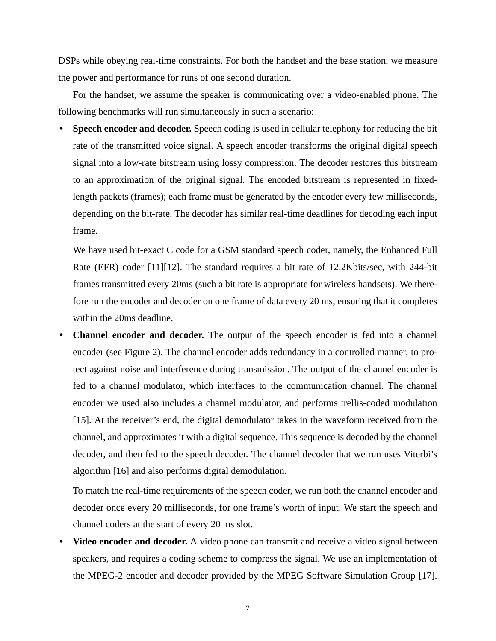DSPs while obeying real-time constraints. For both the handset and the base station, we measure the power and performance for runs of one second duration.

For the handset, we assume the speaker is communicating over a video-enabled phone. The following benchmarks will run simultaneously in such a scenario:

**• Speech encoder and decoder.** Speech coding is used in cellular telephony for reducing the bit rate of the transmitted voice signal. A speech encoder transforms the original digital speech signal into a low-rate bitstream using lossy compression. The decoder restores this bitstream to an approximation of the original signal. The encoded bitstream is represented in fixedlength packets (frames); each frame must be generated by the encoder every few milliseconds, depending on the bit-rate. The decoder has similar real-time deadlines for decoding each input frame.

We have used bit-exact C code for a GSM standard speech coder, namely, the Enhanced Full Rate (EFR) coder [11][12]. The standard requires a bit rate of 12.2Kbits/sec, with 244-bit frames transmitted every 20ms (such a bit rate is appropriate for wireless handsets). We therefore run the encoder and decoder on one frame of data every 20 ms, ensuring that it completes within the 20ms deadline.

**• Channel encoder and decoder.** The output of the speech encoder is fed into a channel encoder (see Figure 2). The channel encoder adds redundancy in a controlled manner, to protect against noise and interference during transmission. The output of the channel encoder is fed to a channel modulator, which interfaces to the communication channel. The channel encoder we used also includes a channel modulator, and performs trellis-coded modulation [15]. At the receiver's end, the digital demodulator takes in the waveform received from the channel, and approximates it with a digital sequence. This sequence is decoded by the channel decoder, and then fed to the speech decoder. The channel decoder that we run uses Viterbi's algorithm [16] and also performs digital demodulation.

To match the real-time requirements of the speech coder, we run both the channel encoder and decoder once every 20 milliseconds, for one frame's worth of input. We start the speech and channel coders at the start of every 20 ms slot.

**• Video encoder and decoder.** A video phone can transmit and receive a video signal between speakers, and requires a coding scheme to compress the signal. We use an implementation of the MPEG-2 encoder and decoder provided by the MPEG Software Simulation Group [17].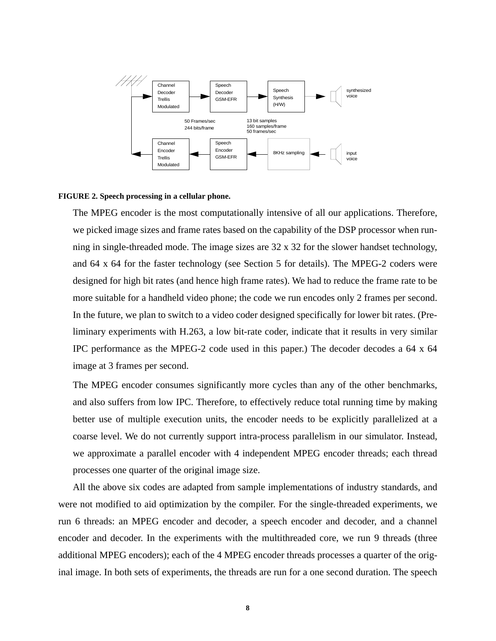

#### **FIGURE 2. Speech processing in a cellular phone.**

The MPEG encoder is the most computationally intensive of all our applications. Therefore, we picked image sizes and frame rates based on the capability of the DSP processor when running in single-threaded mode. The image sizes are 32 x 32 for the slower handset technology, and 64 x 64 for the faster technology (see Section 5 for details). The MPEG-2 coders were designed for high bit rates (and hence high frame rates). We had to reduce the frame rate to be more suitable for a handheld video phone; the code we run encodes only 2 frames per second. In the future, we plan to switch to a video coder designed specifically for lower bit rates. (Preliminary experiments with H.263, a low bit-rate coder, indicate that it results in very similar IPC performance as the MPEG-2 code used in this paper.) The decoder decodes a 64 x 64 image at 3 frames per second.

The MPEG encoder consumes significantly more cycles than any of the other benchmarks, and also suffers from low IPC. Therefore, to effectively reduce total running time by making better use of multiple execution units, the encoder needs to be explicitly parallelized at a coarse level. We do not currently support intra-process parallelism in our simulator. Instead, we approximate a parallel encoder with 4 independent MPEG encoder threads; each thread processes one quarter of the original image size.

All the above six codes are adapted from sample implementations of industry standards, and were not modified to aid optimization by the compiler. For the single-threaded experiments, we run 6 threads: an MPEG encoder and decoder, a speech encoder and decoder, and a channel encoder and decoder. In the experiments with the multithreaded core, we run 9 threads (three additional MPEG encoders); each of the 4 MPEG encoder threads processes a quarter of the original image. In both sets of experiments, the threads are run for a one second duration. The speech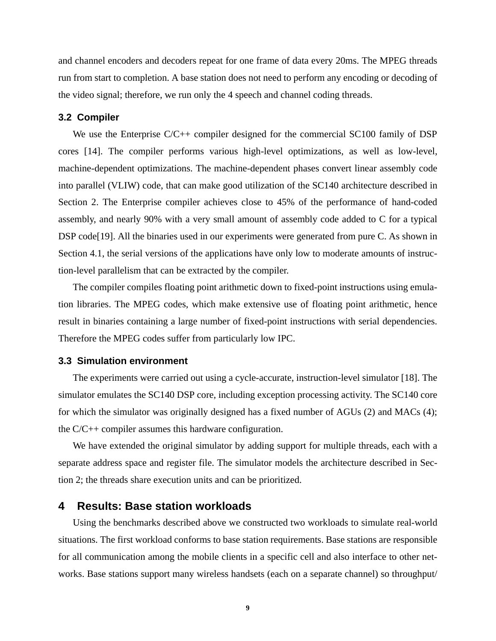and channel encoders and decoders repeat for one frame of data every 20ms. The MPEG threads run from start to completion. A base station does not need to perform any encoding or decoding of the video signal; therefore, we run only the 4 speech and channel coding threads.

#### **3.2 Compiler**

We use the Enterprise C/C++ compiler designed for the commercial SC100 family of DSP cores [14]. The compiler performs various high-level optimizations, as well as low-level, machine-dependent optimizations. The machine-dependent phases convert linear assembly code into parallel (VLIW) code, that can make good utilization of the SC140 architecture described in Section 2. The Enterprise compiler achieves close to 45% of the performance of hand-coded assembly, and nearly 90% with a very small amount of assembly code added to C for a typical DSP code [19]. All the binaries used in our experiments were generated from pure C. As shown in Section 4.1, the serial versions of the applications have only low to moderate amounts of instruction-level parallelism that can be extracted by the compiler.

The compiler compiles floating point arithmetic down to fixed-point instructions using emulation libraries. The MPEG codes, which make extensive use of floating point arithmetic, hence result in binaries containing a large number of fixed-point instructions with serial dependencies. Therefore the MPEG codes suffer from particularly low IPC.

#### **3.3 Simulation environment**

The experiments were carried out using a cycle-accurate, instruction-level simulator [18]. The simulator emulates the SC140 DSP core, including exception processing activity. The SC140 core for which the simulator was originally designed has a fixed number of AGUs (2) and MACs (4); the C/C++ compiler assumes this hardware configuration.

We have extended the original simulator by adding support for multiple threads, each with a separate address space and register file. The simulator models the architecture described in Section 2; the threads share execution units and can be prioritized.

## **4 Results: Base station workloads**

Using the benchmarks described above we constructed two workloads to simulate real-world situations. The first workload conforms to base station requirements. Base stations are responsible for all communication among the mobile clients in a specific cell and also interface to other networks. Base stations support many wireless handsets (each on a separate channel) so throughput/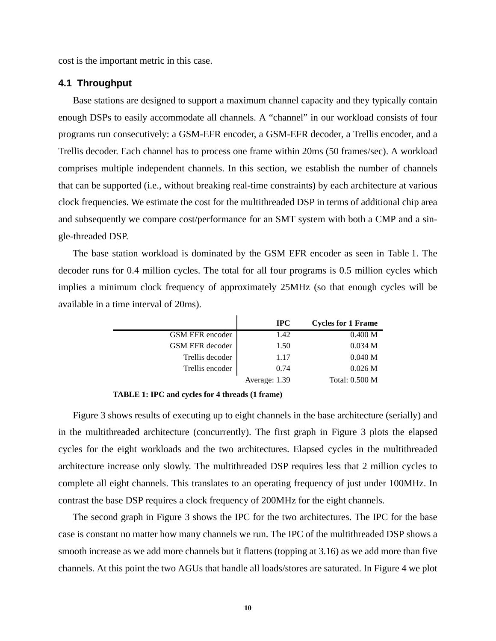cost is the important metric in this case.

#### **4.1 Throughput**

Base stations are designed to support a maximum channel capacity and they typically contain enough DSPs to easily accommodate all channels. A "channel" in our workload consists of four programs run consecutively: a GSM-EFR encoder, a GSM-EFR decoder, a Trellis encoder, and a Trellis decoder. Each channel has to process one frame within 20ms (50 frames/sec). A workload comprises multiple independent channels. In this section, we establish the number of channels that can be supported (i.e., without breaking real-time constraints) by each architecture at various clock frequencies. We estimate the cost for the multithreaded DSP in terms of additional chip area and subsequently we compare cost/performance for an SMT system with both a CMP and a single-threaded DSP.

The base station workload is dominated by the GSM EFR encoder as seen in Table 1. The decoder runs for 0.4 million cycles. The total for all four programs is 0.5 million cycles which implies a minimum clock frequency of approximately 25MHz (so that enough cycles will be available in a time interval of 20ms).

|                 | $_{\rm IPC}$  | <b>Cycles for 1 Frame</b> |
|-----------------|---------------|---------------------------|
| GSM EFR encoder | 1.42          | 0.400 M                   |
| GSM EFR decoder | 1.50          | 0.034 M                   |
| Trellis decoder | 1.17          | 0.040 M                   |
| Trellis encoder | 0.74          | 0.026 M                   |
|                 | Average: 1.39 | Total: 0.500 M            |

**TABLE 1: IPC and cycles for 4 threads (1 frame)**

Figure 3 shows results of executing up to eight channels in the base architecture (serially) and in the multithreaded architecture (concurrently). The first graph in Figure 3 plots the elapsed cycles for the eight workloads and the two architectures. Elapsed cycles in the multithreaded architecture increase only slowly. The multithreaded DSP requires less that 2 million cycles to complete all eight channels. This translates to an operating frequency of just under 100MHz. In contrast the base DSP requires a clock frequency of 200MHz for the eight channels.

The second graph in Figure 3 shows the IPC for the two architectures. The IPC for the base case is constant no matter how many channels we run. The IPC of the multithreaded DSP shows a smooth increase as we add more channels but it flattens (topping at 3.16) as we add more than five channels. At this point the two AGUs that handle all loads/stores are saturated. In Figure 4 we plot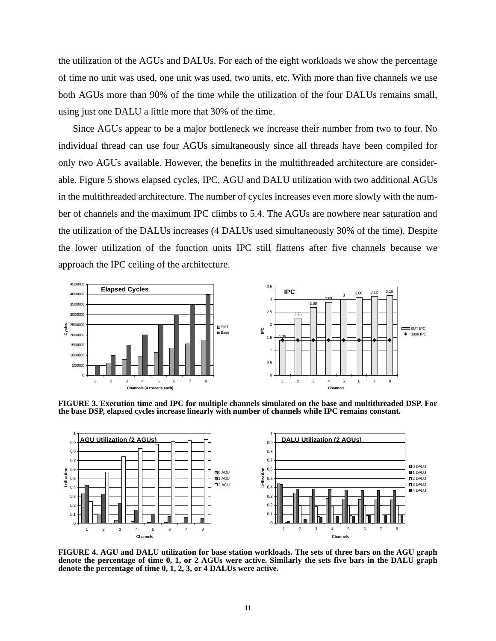the utilization of the AGUs and DALUs. For each of the eight workloads we show the percentage of time no unit was used, one unit was used, two units, etc. With more than five channels we use both AGUs more than 90% of the time while the utilization of the four DALUs remains small, using just one DALU a little more that 30% of the time.

Since AGUs appear to be a major bottleneck we increase their number from two to four. No individual thread can use four AGUs simultaneously since all threads have been compiled for only two AGUs available. However, the benefits in the multithreaded architecture are considerable. Figure 5 shows elapsed cycles, IPC, AGU and DALU utilization with two additional AGUs in the multithreaded architecture. The number of cycles increases even more slowly with the number of channels and the maximum IPC climbs to 5.4. The AGUs are nowhere near saturation and the utilization of the DALUs increases (4 DALUs used simultaneously 30% of the time). Despite the lower utilization of the function units IPC still flattens after five channels because we approach the IPC ceiling of the architecture.



**FIGURE 3. Execution time and IPC for multiple channels simulated on the base and multithreaded DSP. For the base DSP, elapsed cycles increase linearly with number of channels while IPC remains constant.**



**FIGURE 4. AGU and DALU utilization for base station workloads. The sets of three bars on the AGU graph denote the percentage of time 0, 1, or 2 AGUs were active. Similarly the sets five bars in the DALU graph denote the percentage of time 0, 1, 2, 3, or 4 DALUs were active.**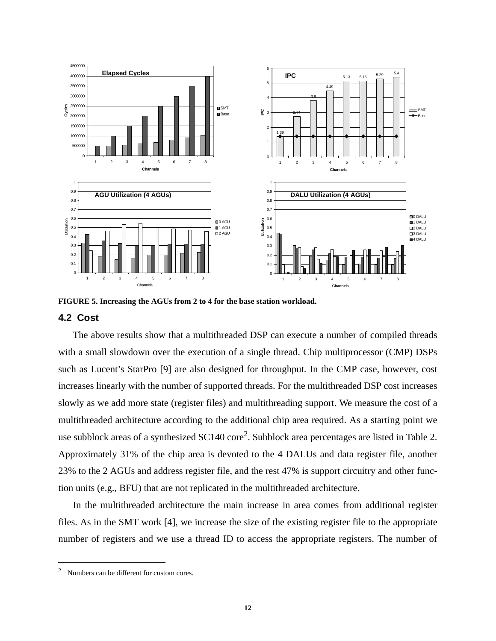

**FIGURE 5. Increasing the AGUs from 2 to 4 for the base station workload.**

### **4.2 Cost**

The above results show that a multithreaded DSP can execute a number of compiled threads with a small slowdown over the execution of a single thread. Chip multiprocessor (CMP) DSPs such as Lucent's StarPro [9] are also designed for throughput. In the CMP case, however, cost increases linearly with the number of supported threads. For the multithreaded DSP cost increases slowly as we add more state (register files) and multithreading support. We measure the cost of a multithreaded architecture according to the additional chip area required. As a starting point we use subblock areas of a synthesized  $SC140$  core<sup>2</sup>. Subblock area percentages are listed in Table 2. Approximately 31% of the chip area is devoted to the 4 DALUs and data register file, another 23% to the 2 AGUs and address register file, and the rest 47% is support circuitry and other function units (e.g., BFU) that are not replicated in the multithreaded architecture.

In the multithreaded architecture the main increase in area comes from additional register files. As in the SMT work [4], we increase the size of the existing register file to the appropriate number of registers and we use a thread ID to access the appropriate registers. The number of

<sup>&</sup>lt;sup>2</sup> Numbers can be different for custom cores.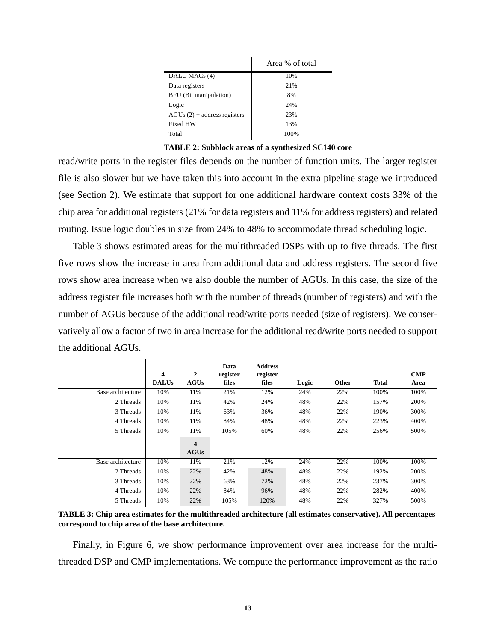|                               | Area % of total |
|-------------------------------|-----------------|
| DALU MAC <sub>s</sub> (4)     | 10%             |
| Data registers                | 21%             |
| BFU (Bit manipulation)        | 8%              |
| Logic                         | 24%             |
| $AGUs(2) + address registers$ | 23%             |
| Fixed HW                      | 13%             |
| Total                         | 100%            |

**TABLE 2: Subblock areas of a synthesized SC140 core**

read/write ports in the register files depends on the number of function units. The larger register file is also slower but we have taken this into account in the extra pipeline stage we introduced (see Section 2). We estimate that support for one additional hardware context costs 33% of the chip area for additional registers (21% for data registers and 11% for address registers) and related routing. Issue logic doubles in size from 24% to 48% to accommodate thread scheduling logic.

Table 3 shows estimated areas for the multithreaded DSPs with up to five threads. The first five rows show the increase in area from additional data and address registers. The second five rows show area increase when we also double the number of AGUs. In this case, the size of the address register file increases both with the number of threads (number of registers) and with the number of AGUs because of the additional read/write ports needed (size of registers). We conservatively allow a factor of two in area increase for the additional read/write ports needed to support the additional AGUs.

 $\mathbf{I}$ 

|                   | 4<br><b>DALUs</b> | 2<br><b>AGUs</b> | Data<br>register<br>files | <b>Address</b><br>register<br>files | Logic | Other | <b>Total</b> | <b>CMP</b><br>Area |
|-------------------|-------------------|------------------|---------------------------|-------------------------------------|-------|-------|--------------|--------------------|
| Base architecture | 10%               | 11%              | 21%                       | 12%                                 | 24%   | 22%   | 100%         | 100%               |
| 2 Threads         | 10%               | 11%              | 42%                       | 24%                                 | 48%   | 22%   | 157%         | 200%               |
| 3 Threads         | 10%               | 11%              | 63%                       | 36%                                 | 48%   | 22%   | 190%         | 300%               |
| 4 Threads         | 10%               | 11%              | 84%                       | 48%                                 | 48%   | 22%   | 223%         | 400%               |
| 5 Threads         | 10%               | 11%              | 105%                      | 60%                                 | 48%   | 22%   | 256%         | 500%               |
|                   |                   | 4<br><b>AGUs</b> |                           |                                     |       |       |              |                    |
| Base architecture | 10%               | 11%              | 21%                       | 12%                                 | 24%   | 22%   | 100%         | 100%               |
| 2 Threads         | 10%               | 22%              | 42%                       | 48%                                 | 48%   | 22%   | 192%         | 200%               |
| 3 Threads         | 10%               | 22%              | 63%                       | 72%                                 | 48%   | 22%   | 237%         | 300%               |
| 4 Threads         | 10%               | 22%              | 84%                       | 96%                                 | 48%   | 22%   | 282%         | 400%               |
| 5 Threads         | 10%               | 22%              | 105%                      | 120%                                | 48%   | 22%   | 327%         | 500%               |

**TABLE 3: Chip area estimates for the multithreaded architecture (all estimates conservative). All percentages correspond to chip area of the base architecture.**

Finally, in Figure 6, we show performance improvement over area increase for the multithreaded DSP and CMP implementations. We compute the performance improvement as the ratio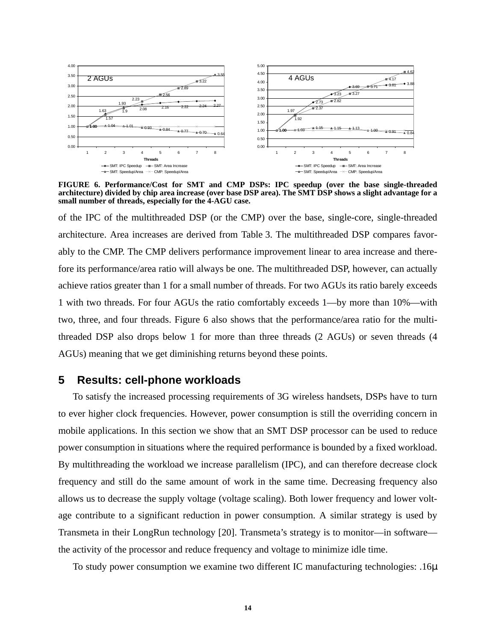

**FIGURE 6. Performance/Cost for SMT and CMP DSPs: IPC speedup (over the base single-threaded architecture) divided by chip area increase (over base DSP area). The SMT DSP shows a slight advantage for a small number of threads, especially for the 4-AGU case.** 

of the IPC of the multithreaded DSP (or the CMP) over the base, single-core, single-threaded architecture. Area increases are derived from Table 3. The multithreaded DSP compares favorably to the CMP. The CMP delivers performance improvement linear to area increase and therefore its performance/area ratio will always be one. The multithreaded DSP, however, can actually achieve ratios greater than 1 for a small number of threads. For two AGUs its ratio barely exceeds 1 with two threads. For four AGUs the ratio comfortably exceeds 1—by more than 10%—with two, three, and four threads. Figure 6 also shows that the performance/area ratio for the multithreaded DSP also drops below 1 for more than three threads (2 AGUs) or seven threads (4 AGUs) meaning that we get diminishing returns beyond these points.

## **5 Results: cell-phone workloads**

To satisfy the increased processing requirements of 3G wireless handsets, DSPs have to turn to ever higher clock frequencies. However, power consumption is still the overriding concern in mobile applications. In this section we show that an SMT DSP processor can be used to reduce power consumption in situations where the required performance is bounded by a fixed workload. By multithreading the workload we increase parallelism (IPC), and can therefore decrease clock frequency and still do the same amount of work in the same time. Decreasing frequency also allows us to decrease the supply voltage (voltage scaling). Both lower frequency and lower voltage contribute to a significant reduction in power consumption. A similar strategy is used by Transmeta in their LongRun technology [20]. Transmeta's strategy is to monitor—in software the activity of the processor and reduce frequency and voltage to minimize idle time.

To study power consumption we examine two different IC manufacturing technologies: .16µ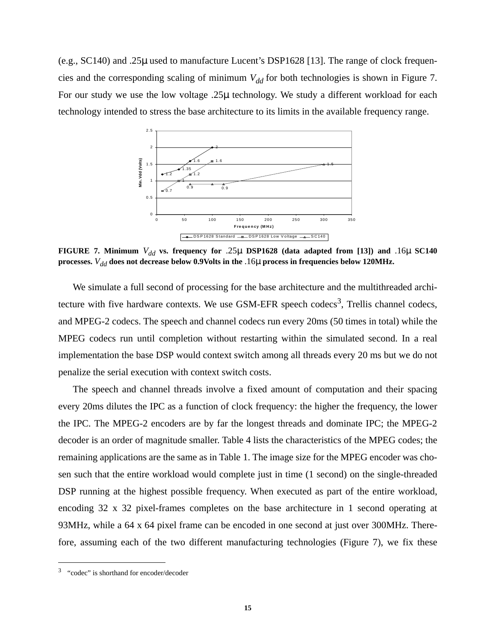(e.g., SC140) and .25µ used to manufacture Lucent's DSP1628 [13]. The range of clock frequencies and the corresponding scaling of minimum  $V_{dd}$  for both technologies is shown in Figure 7. For our study we use the low voltage .25µ technology. We study a different workload for each technology intended to stress the base architecture to its limits in the available frequency range.



**FIGURE 7. Minimum**  $V_{dd}$  vs. frequency for .25µ DSP1628 (data adapted from [13]) and .16µ **SC140 processes.** *Vdd* **does not decrease below 0.9Volts in the** .16µ **process in frequencies below 120MHz.**

We simulate a full second of processing for the base architecture and the multithreaded architecture with five hardware contexts. We use GSM-EFR speech codecs<sup>3</sup>, Trellis channel codecs, and MPEG-2 codecs. The speech and channel codecs run every 20ms (50 times in total) while the MPEG codecs run until completion without restarting within the simulated second. In a real implementation the base DSP would context switch among all threads every 20 ms but we do not penalize the serial execution with context switch costs.

The speech and channel threads involve a fixed amount of computation and their spacing every 20ms dilutes the IPC as a function of clock frequency: the higher the frequency, the lower the IPC. The MPEG-2 encoders are by far the longest threads and dominate IPC; the MPEG-2 decoder is an order of magnitude smaller. Table 4 lists the characteristics of the MPEG codes; the remaining applications are the same as in Table 1. The image size for the MPEG encoder was chosen such that the entire workload would complete just in time (1 second) on the single-threaded DSP running at the highest possible frequency. When executed as part of the entire workload, encoding 32 x 32 pixel-frames completes on the base architecture in 1 second operating at 93MHz, while a 64 x 64 pixel frame can be encoded in one second at just over 300MHz. Therefore, assuming each of the two different manufacturing technologies (Figure 7), we fix these

<sup>3</sup> "codec" is shorthand for encoder/decoder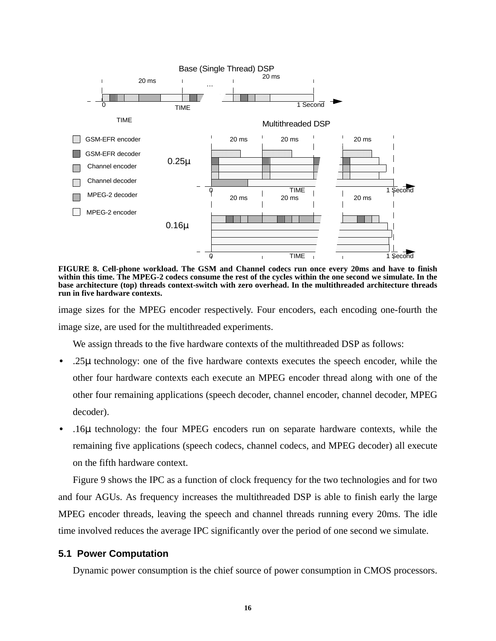

**FIGURE 8. Cell-phone workload. The GSM and Channel codecs run once every 20ms and have to finish within this time. The MPEG-2 codecs consume the rest of the cycles within the one second we simulate. In the base architecture (top) threads context-switch with zero overhead. In the multithreaded architecture threads run in five hardware contexts.**

image sizes for the MPEG encoder respectively. Four encoders, each encoding one-fourth the image size, are used for the multithreaded experiments.

We assign threads to the five hardware contexts of the multithreaded DSP as follows:

- **•** .25µ technology: one of the five hardware contexts executes the speech encoder, while the other four hardware contexts each execute an MPEG encoder thread along with one of the other four remaining applications (speech decoder, channel encoder, channel decoder, MPEG decoder).
- **•** .16µ technology: the four MPEG encoders run on separate hardware contexts, while the remaining five applications (speech codecs, channel codecs, and MPEG decoder) all execute on the fifth hardware context.

Figure 9 shows the IPC as a function of clock frequency for the two technologies and for two and four AGUs. As frequency increases the multithreaded DSP is able to finish early the large MPEG encoder threads, leaving the speech and channel threads running every 20ms. The idle time involved reduces the average IPC significantly over the period of one second we simulate.

#### **5.1 Power Computation**

Dynamic power consumption is the chief source of power consumption in CMOS processors.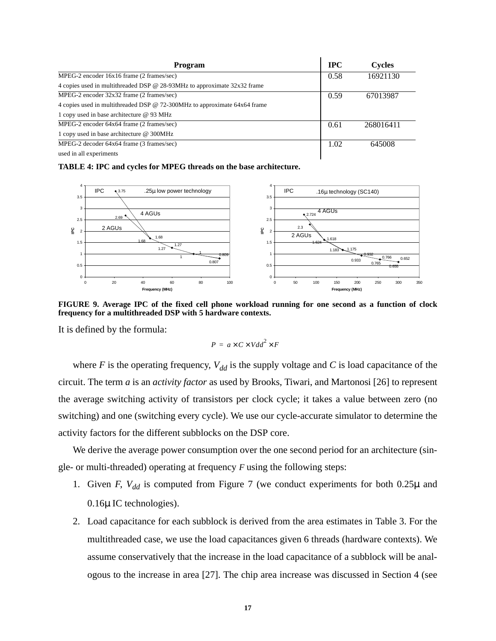| Program                                                                   | <b>IPC</b> | <b>Cycles</b> |
|---------------------------------------------------------------------------|------------|---------------|
| MPEG-2 encoder 16x16 frame (2 frames/sec)                                 | 0.58       | 16921130      |
| 4 copies used in multithreaded DSP @ 28-93MHz to approximate 32x32 frame  |            |               |
| MPEG-2 encoder 32x32 frame (2 frames/sec)                                 | 0.59       | 67013987      |
| 4 copies used in multithreaded DSP @ 72-300MHz to approximate 64x64 frame |            |               |
| 1 copy used in base architecture @ 93 MHz                                 |            |               |
| MPEG-2 encoder 64x64 frame (2 frames/sec)                                 | 0.61       | 268016411     |
| 1 copy used in base architecture @ 300MHz                                 |            |               |
| MPEG-2 decoder 64x64 frame (3 frames/sec)                                 | 1.02       | 645008        |
| used in all experiments                                                   |            |               |

**TABLE 4: IPC and cycles for MPEG threads on the base architecture.**



**FIGURE 9. Average IPC of the fixed cell phone workload running for one second as a function of clock frequency for a multithreaded DSP with 5 hardware contexts.**

It is defined by the formula:

$$
P = a \times C \times V dd^2 \times F
$$

where *F* is the operating frequency,  $V_{dd}$  is the supply voltage and *C* is load capacitance of the circuit. The term *a* is an *activity factor* as used by Brooks, Tiwari, and Martonosi [26] to represent the average switching activity of transistors per clock cycle; it takes a value between zero (no switching) and one (switching every cycle). We use our cycle-accurate simulator to determine the activity factors for the different subblocks on the DSP core.

We derive the average power consumption over the one second period for an architecture (single- or multi-threaded) operating at frequency *F* using the following steps:

- 1. Given *F*,  $V_{dd}$  is computed from Figure 7 (we conduct experiments for both 0.25 $\mu$  and 0.16µ IC technologies).
- 2. Load capacitance for each subblock is derived from the area estimates in Table 3. For the multithreaded case, we use the load capacitances given 6 threads (hardware contexts). We assume conservatively that the increase in the load capacitance of a subblock will be analogous to the increase in area [27]. The chip area increase was discussed in Section 4 (see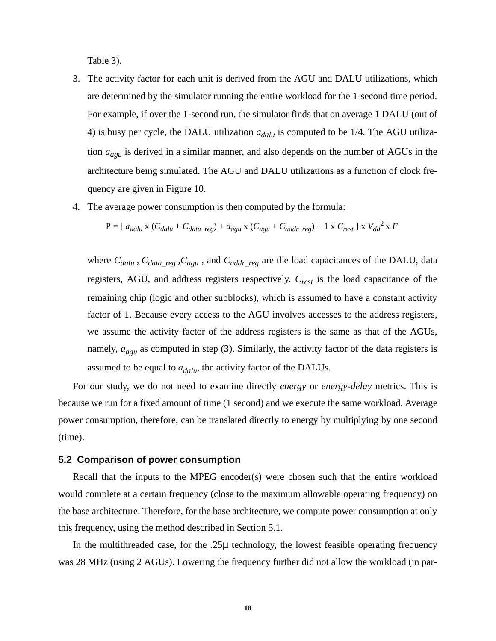Table 3).

- 3. The activity factor for each unit is derived from the AGU and DALU utilizations, which are determined by the simulator running the entire workload for the 1-second time period. For example, if over the 1-second run, the simulator finds that on average 1 DALU (out of 4) is busy per cycle, the DALU utilization  $a_{dalu}$  is computed to be 1/4. The AGU utilization *aagu* is derived in a similar manner, and also depends on the number of AGUs in the architecture being simulated. The AGU and DALU utilizations as a function of clock frequency are given in Figure 10.
- 4. The average power consumption is then computed by the formula:

$$
P = [a_{dalu} x (C_{dalu} + C_{data\_reg}) + a_{agu} x (C_{agu} + C_{addr\_reg}) + 1 x C_{rest}] x V_{dd}^{2} x F
$$

where  $C_{dalu}$ ,  $C_{data\_reg}$ ,  $C_{agu}$ , and  $C_{addr\_reg}$  are the load capacitances of the DALU, data registers, AGU, and address registers respectively. *Crest* is the load capacitance of the remaining chip (logic and other subblocks), which is assumed to have a constant activity factor of 1. Because every access to the AGU involves accesses to the address registers, we assume the activity factor of the address registers is the same as that of the AGUs, namely,  $a_{agu}$  as computed in step (3). Similarly, the activity factor of the data registers is assumed to be equal to  $a_{dalu}$ , the activity factor of the DALUs.

For our study, we do not need to examine directly *energy* or *energy-delay* metrics. This is because we run for a fixed amount of time (1 second) and we execute the same workload. Average power consumption, therefore, can be translated directly to energy by multiplying by one second (time).

#### **5.2 Comparison of power consumption**

Recall that the inputs to the MPEG encoder(s) were chosen such that the entire workload would complete at a certain frequency (close to the maximum allowable operating frequency) on the base architecture. Therefore, for the base architecture, we compute power consumption at only this frequency, using the method described in Section 5.1.

In the multithreaded case, for the  $.25\mu$  technology, the lowest feasible operating frequency was 28 MHz (using 2 AGUs). Lowering the frequency further did not allow the workload (in par-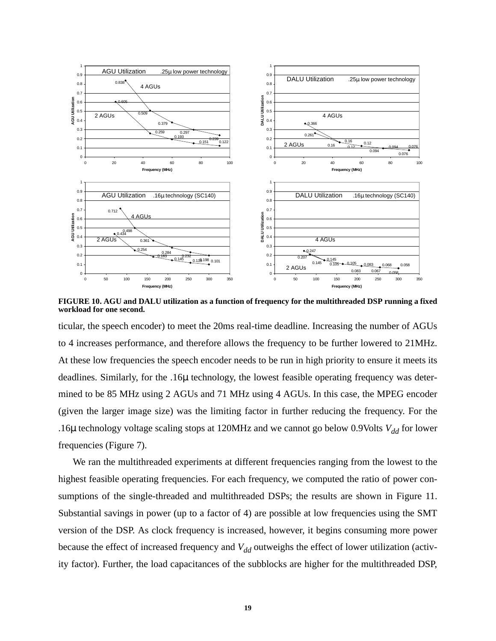

**FIGURE 10. AGU and DALU utilization as a function of frequency for the multithreaded DSP running a fixed workload for one second.**

ticular, the speech encoder) to meet the 20ms real-time deadline. Increasing the number of AGUs to 4 increases performance, and therefore allows the frequency to be further lowered to 21MHz. At these low frequencies the speech encoder needs to be run in high priority to ensure it meets its deadlines. Similarly, for the .16µ technology, the lowest feasible operating frequency was determined to be 85 MHz using 2 AGUs and 71 MHz using 4 AGUs. In this case, the MPEG encoder (given the larger image size) was the limiting factor in further reducing the frequency. For the .16 $\mu$  technology voltage scaling stops at 120MHz and we cannot go below 0.9Volts  $V_{dd}$  for lower frequencies (Figure 7).

We ran the multithreaded experiments at different frequencies ranging from the lowest to the highest feasible operating frequencies. For each frequency, we computed the ratio of power consumptions of the single-threaded and multithreaded DSPs; the results are shown in Figure 11. Substantial savings in power (up to a factor of 4) are possible at low frequencies using the SMT version of the DSP. As clock frequency is increased, however, it begins consuming more power because the effect of increased frequency and  $V_{dd}$  outweighs the effect of lower utilization (activity factor). Further, the load capacitances of the subblocks are higher for the multithreaded DSP,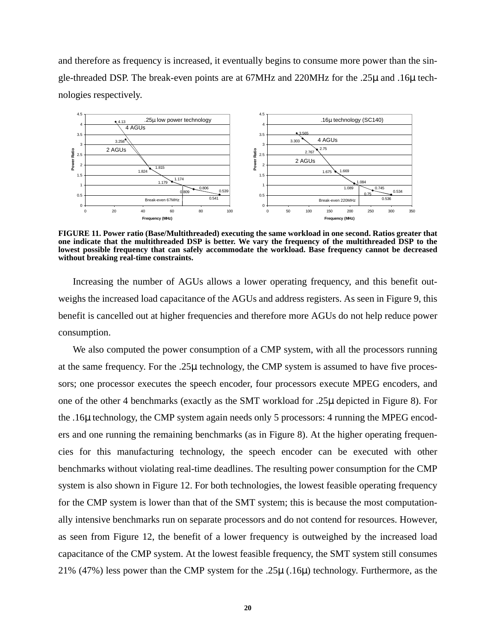and therefore as frequency is increased, it eventually begins to consume more power than the single-threaded DSP. The break-even points are at 67MHz and 220MHz for the .25µ and .16µ technologies respectively.



**FIGURE 11. Power ratio (Base/Multithreaded) executing the same workload in one second. Ratios greater that one indicate that the multithreaded DSP is better. We vary the frequency of the multithreaded DSP to the lowest possible frequency that can safely accommodate the workload. Base frequency cannot be decreased without breaking real-time constraints.**

Increasing the number of AGUs allows a lower operating frequency, and this benefit outweighs the increased load capacitance of the AGUs and address registers. As seen in Figure 9, this benefit is cancelled out at higher frequencies and therefore more AGUs do not help reduce power consumption.

We also computed the power consumption of a CMP system, with all the processors running at the same frequency. For the .25µ technology, the CMP system is assumed to have five processors; one processor executes the speech encoder, four processors execute MPEG encoders, and one of the other 4 benchmarks (exactly as the SMT workload for .25µ depicted in Figure 8). For the .16µ technology, the CMP system again needs only 5 processors: 4 running the MPEG encoders and one running the remaining benchmarks (as in Figure 8). At the higher operating frequencies for this manufacturing technology, the speech encoder can be executed with other benchmarks without violating real-time deadlines. The resulting power consumption for the CMP system is also shown in Figure 12. For both technologies, the lowest feasible operating frequency for the CMP system is lower than that of the SMT system; this is because the most computationally intensive benchmarks run on separate processors and do not contend for resources. However, as seen from Figure 12, the benefit of a lower frequency is outweighed by the increased load capacitance of the CMP system. At the lowest feasible frequency, the SMT system still consumes 21% (47%) less power than the CMP system for the .25µ (.16µ) technology. Furthermore, as the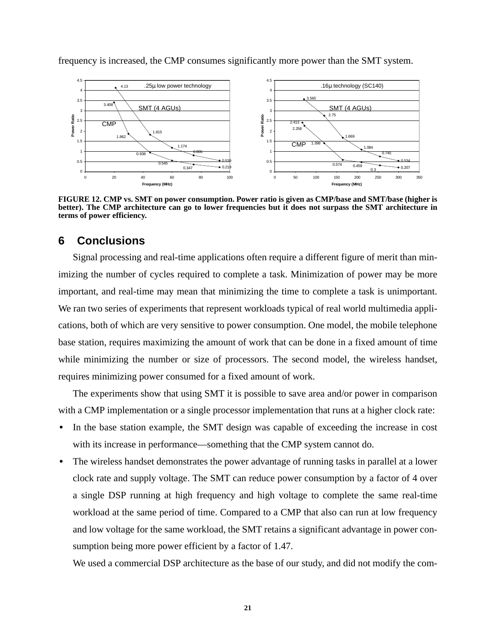

frequency is increased, the CMP consumes significantly more power than the SMT system.

**FIGURE 12. CMP vs. SMT on power consumption. Power ratio is given as CMP/base and SMT/base (higher is better). The CMP architecture can go to lower frequencies but it does not surpass the SMT architecture in terms of power efficiency.**

# **6 Conclusions**

Signal processing and real-time applications often require a different figure of merit than minimizing the number of cycles required to complete a task. Minimization of power may be more important, and real-time may mean that minimizing the time to complete a task is unimportant. We ran two series of experiments that represent workloads typical of real world multimedia applications, both of which are very sensitive to power consumption. One model, the mobile telephone base station, requires maximizing the amount of work that can be done in a fixed amount of time while minimizing the number or size of processors. The second model, the wireless handset, requires minimizing power consumed for a fixed amount of work.

The experiments show that using SMT it is possible to save area and/or power in comparison with a CMP implementation or a single processor implementation that runs at a higher clock rate:

- In the base station example, the SMT design was capable of exceeding the increase in cost with its increase in performance—something that the CMP system cannot do.
- The wireless handset demonstrates the power advantage of running tasks in parallel at a lower clock rate and supply voltage. The SMT can reduce power consumption by a factor of 4 over a single DSP running at high frequency and high voltage to complete the same real-time workload at the same period of time. Compared to a CMP that also can run at low frequency and low voltage for the same workload, the SMT retains a significant advantage in power consumption being more power efficient by a factor of 1.47.

We used a commercial DSP architecture as the base of our study, and did not modify the com-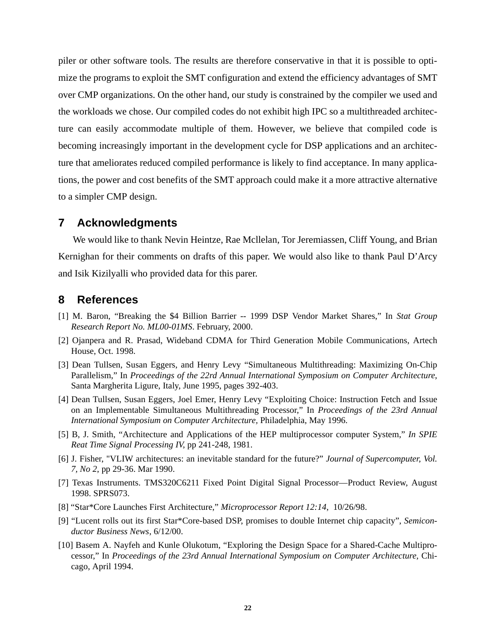piler or other software tools. The results are therefore conservative in that it is possible to optimize the programs to exploit the SMT configuration and extend the efficiency advantages of SMT over CMP organizations. On the other hand, our study is constrained by the compiler we used and the workloads we chose. Our compiled codes do not exhibit high IPC so a multithreaded architecture can easily accommodate multiple of them. However, we believe that compiled code is becoming increasingly important in the development cycle for DSP applications and an architecture that ameliorates reduced compiled performance is likely to find acceptance. In many applications, the power and cost benefits of the SMT approach could make it a more attractive alternative to a simpler CMP design.

## **7 Acknowledgments**

We would like to thank Nevin Heintze, Rae Mcllelan, Tor Jeremiassen, Cliff Young, and Brian Kernighan for their comments on drafts of this paper. We would also like to thank Paul D'Arcy and Isik Kizilyalli who provided data for this parer.

## **8 References**

- [1] M. Baron, "Breaking the \$4 Billion Barrier -- 1999 DSP Vendor Market Shares," In *Stat Group Research Report No. ML00-01MS*. February, 2000.
- [2] Ojanpera and R. Prasad, Wideband CDMA for Third Generation Mobile Communications, Artech House, Oct. 1998.
- [3] Dean Tullsen, Susan Eggers, and Henry Levy "Simultaneous Multithreading: Maximizing On-Chip Parallelism," In *Proceedings of the 22rd Annual International Symposium on Computer Architecture*, Santa Margherita Ligure, Italy, June 1995, pages 392-403.
- [4] Dean Tullsen, Susan Eggers, Joel Emer, Henry Levy "Exploiting Choice: Instruction Fetch and Issue on an Implementable Simultaneous Multithreading Processor," In *Proceedings of the 23rd Annual International Symposium on Computer Architecture,* Philadelphia, May 1996.
- [5] B, J. Smith, "Architecture and Applications of the HEP multiprocessor computer System," *In SPIE Reat Time Signal Processing IV*, pp 241-248, 1981.
- [6] J. Fisher, "VLIW architectures: an inevitable standard for the future?" *Journal of Supercomputer, Vol. 7, No 2*, pp 29-36. Mar 1990.
- [7] Texas Instruments. TMS320C6211 Fixed Point Digital Signal Processor—Product Review, August 1998. SPRS073.
- [8] "Star\*Core Launches First Architecture," *Microprocessor Report 12:14*, 10/26/98.
- [9] "Lucent rolls out its first Star\*Core-based DSP, promises to double Internet chip capacity", *Semiconductor Business News*, 6/12/00.
- [10] Basem A. Nayfeh and Kunle Olukotum, "Exploring the Design Space for a Shared-Cache Multiprocessor," In *Proceedings of the 23rd Annual International Symposium on Computer Architecture,* Chicago, April 1994.